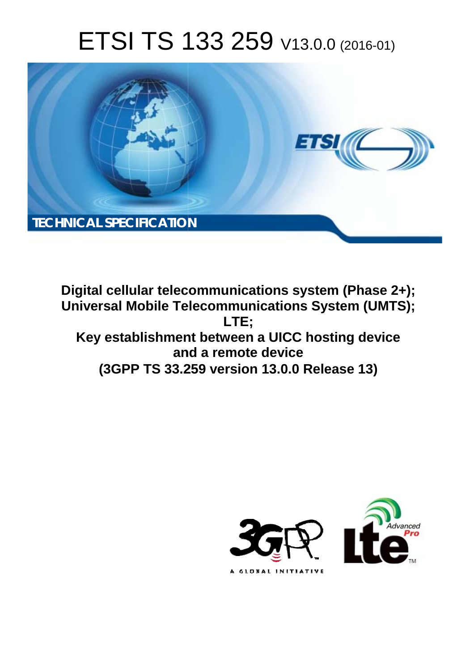# ETSI TS 133 259 V13.0.0 (2016-01)



**Digital cellular telecommunications system (Phase 2+); Universal Mobile Tel elecommunications System ( (UMTS); Key establishment between a UICC hosting device and nd a remote device (3GPP TS 33.2 .259 version 13.0.0 Release 13 13) LTE;** 

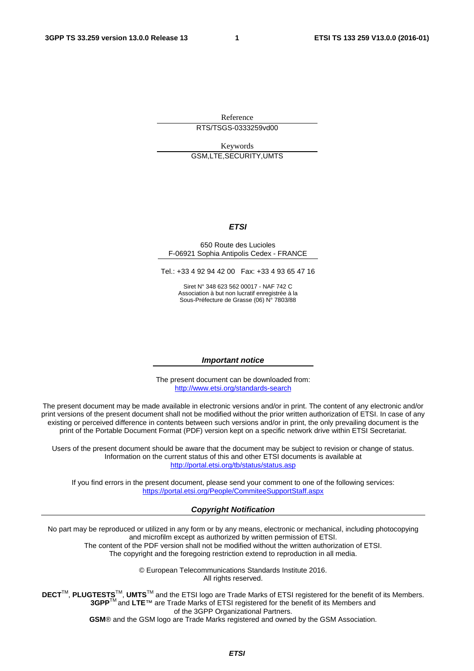Reference RTS/TSGS-0333259vd00

Keywords GSM,LTE,SECURITY,UMTS

#### *ETSI*

#### 650 Route des Lucioles F-06921 Sophia Antipolis Cedex - FRANCE

Tel.: +33 4 92 94 42 00 Fax: +33 4 93 65 47 16

Siret N° 348 623 562 00017 - NAF 742 C Association à but non lucratif enregistrée à la Sous-Préfecture de Grasse (06) N° 7803/88

#### *Important notice*

The present document can be downloaded from: <http://www.etsi.org/standards-search>

The present document may be made available in electronic versions and/or in print. The content of any electronic and/or print versions of the present document shall not be modified without the prior written authorization of ETSI. In case of any existing or perceived difference in contents between such versions and/or in print, the only prevailing document is the print of the Portable Document Format (PDF) version kept on a specific network drive within ETSI Secretariat.

Users of the present document should be aware that the document may be subject to revision or change of status. Information on the current status of this and other ETSI documents is available at <http://portal.etsi.org/tb/status/status.asp>

If you find errors in the present document, please send your comment to one of the following services: <https://portal.etsi.org/People/CommiteeSupportStaff.aspx>

#### *Copyright Notification*

No part may be reproduced or utilized in any form or by any means, electronic or mechanical, including photocopying and microfilm except as authorized by written permission of ETSI.

The content of the PDF version shall not be modified without the written authorization of ETSI. The copyright and the foregoing restriction extend to reproduction in all media.

> © European Telecommunications Standards Institute 2016. All rights reserved.

**DECT**TM, **PLUGTESTS**TM, **UMTS**TM and the ETSI logo are Trade Marks of ETSI registered for the benefit of its Members. **3GPP**TM and **LTE**™ are Trade Marks of ETSI registered for the benefit of its Members and of the 3GPP Organizational Partners.

**GSM**® and the GSM logo are Trade Marks registered and owned by the GSM Association.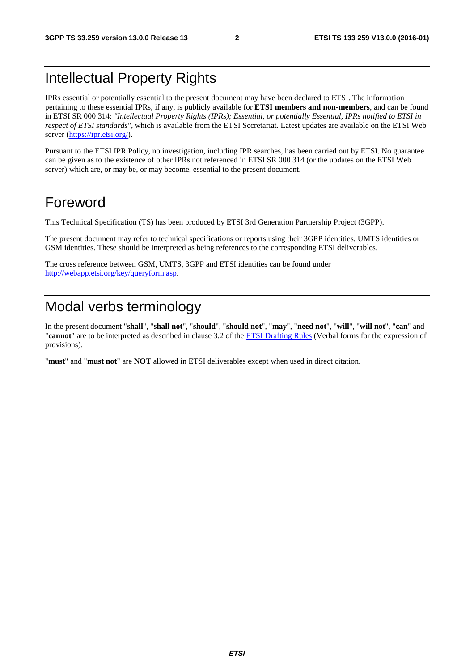## Intellectual Property Rights

IPRs essential or potentially essential to the present document may have been declared to ETSI. The information pertaining to these essential IPRs, if any, is publicly available for **ETSI members and non-members**, and can be found in ETSI SR 000 314: *"Intellectual Property Rights (IPRs); Essential, or potentially Essential, IPRs notified to ETSI in respect of ETSI standards"*, which is available from the ETSI Secretariat. Latest updates are available on the ETSI Web server ([https://ipr.etsi.org/\)](https://ipr.etsi.org/).

Pursuant to the ETSI IPR Policy, no investigation, including IPR searches, has been carried out by ETSI. No guarantee can be given as to the existence of other IPRs not referenced in ETSI SR 000 314 (or the updates on the ETSI Web server) which are, or may be, or may become, essential to the present document.

### Foreword

This Technical Specification (TS) has been produced by ETSI 3rd Generation Partnership Project (3GPP).

The present document may refer to technical specifications or reports using their 3GPP identities, UMTS identities or GSM identities. These should be interpreted as being references to the corresponding ETSI deliverables.

The cross reference between GSM, UMTS, 3GPP and ETSI identities can be found under [http://webapp.etsi.org/key/queryform.asp.](http://webapp.etsi.org/key/queryform.asp)

## Modal verbs terminology

In the present document "**shall**", "**shall not**", "**should**", "**should not**", "**may**", "**need not**", "**will**", "**will not**", "**can**" and "**cannot**" are to be interpreted as described in clause 3.2 of the [ETSI Drafting Rules](http://portal.etsi.org/Help/editHelp!/Howtostart/ETSIDraftingRules.aspx) (Verbal forms for the expression of provisions).

"**must**" and "**must not**" are **NOT** allowed in ETSI deliverables except when used in direct citation.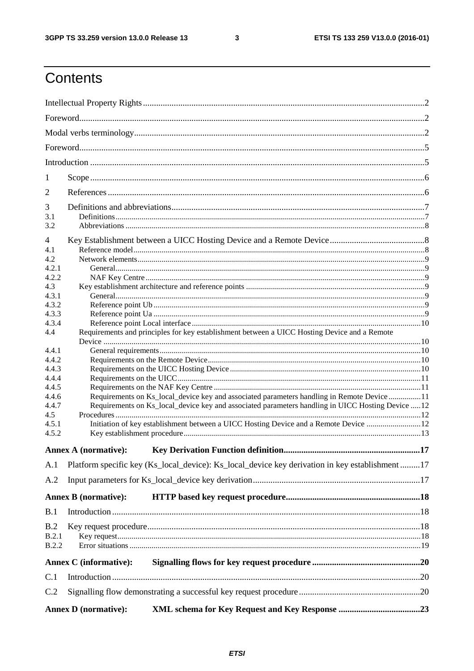$\mathbf{3}$ 

## Contents

| 1                     |                               |                                                                                                   |     |  |  |  |
|-----------------------|-------------------------------|---------------------------------------------------------------------------------------------------|-----|--|--|--|
| $\overline{2}$        |                               |                                                                                                   |     |  |  |  |
| 3                     |                               |                                                                                                   |     |  |  |  |
| 3.1                   |                               |                                                                                                   |     |  |  |  |
| 3.2                   |                               |                                                                                                   |     |  |  |  |
| 4                     |                               |                                                                                                   |     |  |  |  |
| 4.1                   |                               |                                                                                                   |     |  |  |  |
| 4.2<br>4.2.1          |                               |                                                                                                   |     |  |  |  |
| 4.2.2                 |                               |                                                                                                   |     |  |  |  |
| 4.3                   |                               |                                                                                                   |     |  |  |  |
| 4.3.1                 |                               |                                                                                                   |     |  |  |  |
| 4.3.2                 |                               |                                                                                                   |     |  |  |  |
| 4.3.3                 |                               |                                                                                                   |     |  |  |  |
| 4.3.4                 |                               |                                                                                                   |     |  |  |  |
| 4.4                   |                               | Requirements and principles for key establishment between a UICC Hosting Device and a Remote      |     |  |  |  |
|                       |                               |                                                                                                   |     |  |  |  |
| 4.4.1                 |                               |                                                                                                   |     |  |  |  |
| 4.4.2                 |                               |                                                                                                   |     |  |  |  |
| 4.4.3<br>4.4.4        |                               |                                                                                                   |     |  |  |  |
| 4.4.5                 |                               |                                                                                                   |     |  |  |  |
| 4.4.6                 |                               | Requirements on Ks_local_device key and associated parameters handling in Remote Device 11        |     |  |  |  |
| 4.4.7                 |                               | Requirements on Ks_local_device key and associated parameters handling in UICC Hosting Device  12 |     |  |  |  |
| 4.5                   |                               |                                                                                                   |     |  |  |  |
| 4.5.1                 |                               | Initiation of key establishment between a UICC Hosting Device and a Remote Device  12             |     |  |  |  |
| 4.5.2                 |                               |                                                                                                   |     |  |  |  |
|                       |                               |                                                                                                   |     |  |  |  |
|                       | <b>Annex A</b> (normative):   | <b>Key Derivation Function definition.</b>                                                        | .17 |  |  |  |
| A.1                   |                               | Platform specific key (Ks_local_device): Ks_local_device key derivation in key establishment 17   |     |  |  |  |
| A.2                   |                               |                                                                                                   |     |  |  |  |
|                       | <b>Annex B</b> (normative):   |                                                                                                   |     |  |  |  |
| B.1                   |                               |                                                                                                   |     |  |  |  |
|                       |                               |                                                                                                   |     |  |  |  |
| B.2                   |                               |                                                                                                   |     |  |  |  |
| B.2.1<br><b>B.2.2</b> |                               |                                                                                                   |     |  |  |  |
|                       |                               |                                                                                                   |     |  |  |  |
|                       | <b>Annex C</b> (informative): |                                                                                                   |     |  |  |  |
| C.1                   |                               |                                                                                                   |     |  |  |  |
| C.2                   |                               |                                                                                                   |     |  |  |  |
|                       | <b>Annex D</b> (normative):   |                                                                                                   |     |  |  |  |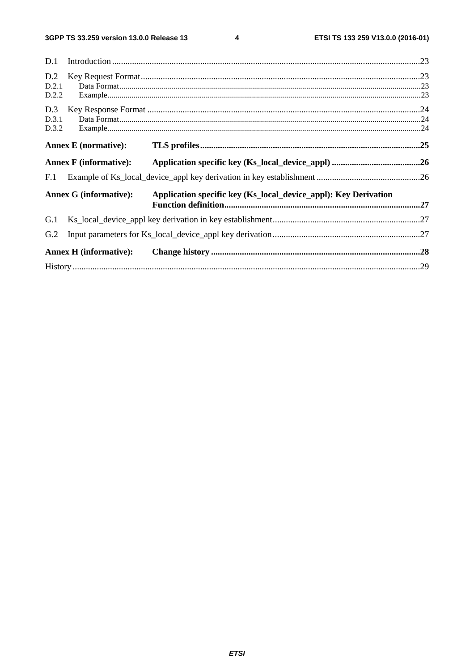$\overline{\mathbf{4}}$ 

| D.1   |                               |                                                                 |  |
|-------|-------------------------------|-----------------------------------------------------------------|--|
| D.2   |                               |                                                                 |  |
| D.2.1 |                               |                                                                 |  |
| D.2.2 |                               |                                                                 |  |
| D.3   |                               |                                                                 |  |
| D.3.1 |                               |                                                                 |  |
| D.3.2 |                               |                                                                 |  |
|       | <b>Annex E</b> (normative):   |                                                                 |  |
|       | <b>Annex F</b> (informative): |                                                                 |  |
| F.1   |                               |                                                                 |  |
|       | <b>Annex G (informative):</b> | Application specific key (Ks_local_device_appl): Key Derivation |  |
| G.1   |                               |                                                                 |  |
| G.2   |                               |                                                                 |  |
|       | <b>Annex H</b> (informative): |                                                                 |  |
|       |                               |                                                                 |  |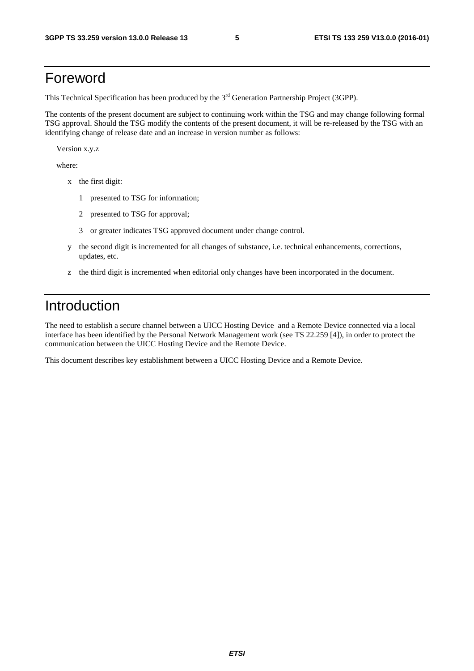### Foreword

This Technical Specification has been produced by the 3<sup>rd</sup> Generation Partnership Project (3GPP).

The contents of the present document are subject to continuing work within the TSG and may change following formal TSG approval. Should the TSG modify the contents of the present document, it will be re-released by the TSG with an identifying change of release date and an increase in version number as follows:

Version x.y.z

where:

- x the first digit:
	- 1 presented to TSG for information;
	- 2 presented to TSG for approval;
	- 3 or greater indicates TSG approved document under change control.
- y the second digit is incremented for all changes of substance, i.e. technical enhancements, corrections, updates, etc.
- z the third digit is incremented when editorial only changes have been incorporated in the document.

### Introduction

The need to establish a secure channel between a UICC Hosting Device and a Remote Device connected via a local interface has been identified by the Personal Network Management work (see TS 22.259 [4]), in order to protect the communication between the UICC Hosting Device and the Remote Device.

This document describes key establishment between a UICC Hosting Device and a Remote Device.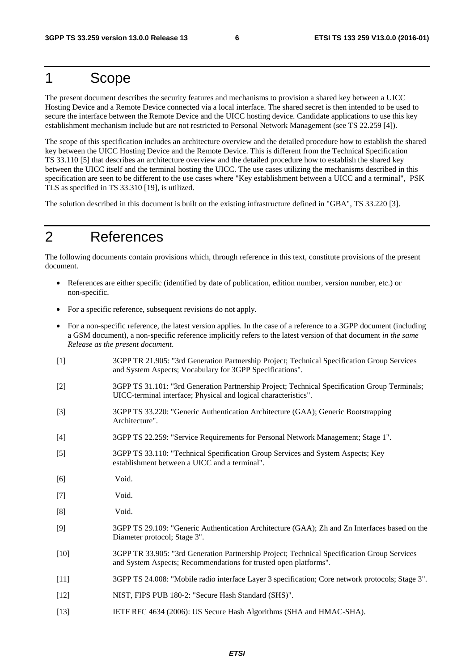### 1 Scope

The present document describes the security features and mechanisms to provision a shared key between a UICC Hosting Device and a Remote Device connected via a local interface. The shared secret is then intended to be used to secure the interface between the Remote Device and the UICC hosting device. Candidate applications to use this key establishment mechanism include but are not restricted to Personal Network Management (see TS 22.259 [4]).

The scope of this specification includes an architecture overview and the detailed procedure how to establish the shared key between the UICC Hosting Device and the Remote Device. This is different from the Technical Specification TS 33.110 [5] that describes an architecture overview and the detailed procedure how to establish the shared key between the UICC itself and the terminal hosting the UICC. The use cases utilizing the mechanisms described in this specification are seen to be different to the use cases where "Key establishment between a UICC and a terminal", PSK TLS as specified in TS 33.310 [19], is utilized.

The solution described in this document is built on the existing infrastructure defined in "GBA", TS 33.220 [3].

## 2 References

The following documents contain provisions which, through reference in this text, constitute provisions of the present document.

- References are either specific (identified by date of publication, edition number, version number, etc.) or non-specific.
- For a specific reference, subsequent revisions do not apply.
- For a non-specific reference, the latest version applies. In the case of a reference to a 3GPP document (including a GSM document), a non-specific reference implicitly refers to the latest version of that document *in the same Release as the present document*.
- [1] 3GPP TR 21.905: "3rd Generation Partnership Project; Technical Specification Group Services and System Aspects; Vocabulary for 3GPP Specifications".
- [2] 3GPP TS 31.101: "3rd Generation Partnership Project; Technical Specification Group Terminals; UICC-terminal interface; Physical and logical characteristics".
- [3] 3GPP TS 33.220: "Generic Authentication Architecture (GAA); Generic Bootstrapping Architecture".
- [4] 3GPP TS 22.259: "Service Requirements for Personal Network Management; Stage 1".
- [5] 3GPP TS 33.110: "Technical Specification Group Services and System Aspects; Key establishment between a UICC and a terminal".
- [6] Void.
- [7] Void.
- [8] Void.
- [9] 3GPP TS 29.109: "Generic Authentication Architecture (GAA); Zh and Zn Interfaces based on the Diameter protocol; Stage 3".
- [10] 3GPP TR 33.905: "3rd Generation Partnership Project; Technical Specification Group Services and System Aspects; Recommendations for trusted open platforms".
- [11] 3GPP TS 24.008: "Mobile radio interface Layer 3 specification; Core network protocols; Stage 3".
- [12] NIST, FIPS PUB 180-2: "Secure Hash Standard (SHS)".
- [13] IETF RFC 4634 (2006): US Secure Hash Algorithms (SHA and HMAC-SHA).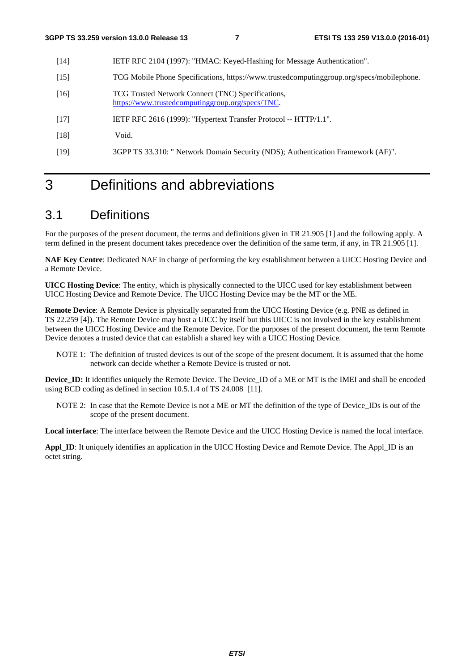- [14] IETF RFC 2104 (1997): "HMAC: Keyed-Hashing for Message Authentication".
- [15] TCG Mobile Phone Specifications, https://www.trustedcomputinggroup.org/specs/mobilephone.
- [16] TCG Trusted Network Connect (TNC) Specifications, [https://www.trustedcomputinggroup.org/specs/TNC.](https://www.trustedcomputinggroup.org/specs/TNC)
- [17] IETF RFC 2616 (1999): "Hypertext Transfer Protocol -- HTTP/1.1".
- [18] Void.
- [19] 3GPP TS 33.310: " Network Domain Security (NDS); Authentication Framework (AF)".

## 3 Definitions and abbreviations

#### 3.1 Definitions

For the purposes of the present document, the terms and definitions given in TR 21.905 [1] and the following apply. A term defined in the present document takes precedence over the definition of the same term, if any, in TR 21.905 [1].

**NAF Key Centre**: Dedicated NAF in charge of performing the key establishment between a UICC Hosting Device and a Remote Device.

**UICC Hosting Device**: The entity, which is physically connected to the UICC used for key establishment between UICC Hosting Device and Remote Device. The UICC Hosting Device may be the MT or the ME.

**Remote Device**: A Remote Device is physically separated from the UICC Hosting Device (e.g. PNE as defined in TS 22.259 [4]). The Remote Device may host a UICC by itself but this UICC is not involved in the key establishment between the UICC Hosting Device and the Remote Device. For the purposes of the present document, the term Remote Device denotes a trusted device that can establish a shared key with a UICC Hosting Device.

NOTE 1: The definition of trusted devices is out of the scope of the present document. It is assumed that the home network can decide whether a Remote Device is trusted or not.

**Device ID:** It identifies uniquely the Remote Device. The Device ID of a ME or MT is the IMEI and shall be encoded using BCD coding as defined in section 10.5.1.4 of TS 24.008 [11].

NOTE 2: In case that the Remote Device is not a ME or MT the definition of the type of Device\_IDs is out of the scope of the present document.

**Local interface**: The interface between the Remote Device and the UICC Hosting Device is named the local interface.

**Appl\_ID**: It uniquely identifies an application in the UICC Hosting Device and Remote Device. The Appl\_ID is an octet string.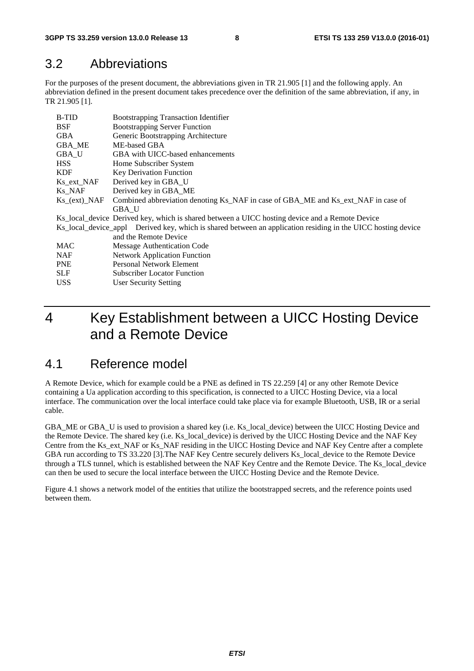#### 3.2 Abbreviations

For the purposes of the present document, the abbreviations given in TR 21.905 [1] and the following apply. An abbreviation defined in the present document takes precedence over the definition of the same abbreviation, if any, in TR 21.905 [1].

| <b>B-TID</b>                      | <b>Bootstrapping Transaction Identifier</b>                                                                  |  |  |  |  |
|-----------------------------------|--------------------------------------------------------------------------------------------------------------|--|--|--|--|
| <b>BSF</b>                        | <b>Bootstrapping Server Function</b>                                                                         |  |  |  |  |
| <b>GBA</b>                        | Generic Bootstrapping Architecture                                                                           |  |  |  |  |
| GBA_ME                            | ME-based GBA                                                                                                 |  |  |  |  |
| <b>GBA U</b>                      | GBA with UICC-based enhancements                                                                             |  |  |  |  |
| <b>HSS</b>                        | Home Subscriber System                                                                                       |  |  |  |  |
| <b>KDF</b>                        | Key Derivation Function                                                                                      |  |  |  |  |
| Ks ext NAF                        | Derived key in GBA_U                                                                                         |  |  |  |  |
| Ks NAF                            | Derived key in GBA ME                                                                                        |  |  |  |  |
| $Ks_{\text{C}}(ext)_{\text{NAF}}$ | Combined abbreviation denoting Ks_NAF in case of GBA_ME and Ks_ext_NAF in case of                            |  |  |  |  |
|                                   | GBA U                                                                                                        |  |  |  |  |
|                                   | Ks_local_device Derived key, which is shared between a UICC hosting device and a Remote Device               |  |  |  |  |
|                                   | Ks_local_device_appl Derived key, which is shared between an application residing in the UICC hosting device |  |  |  |  |
|                                   | and the Remote Device                                                                                        |  |  |  |  |
| MAC                               | Message Authentication Code                                                                                  |  |  |  |  |
| <b>NAF</b>                        | <b>Network Application Function</b>                                                                          |  |  |  |  |
| <b>PNE</b>                        | Personal Network Element                                                                                     |  |  |  |  |
| <b>SLF</b>                        | <b>Subscriber Locator Function</b>                                                                           |  |  |  |  |
| USS.                              | User Security Setting                                                                                        |  |  |  |  |

## 4 Key Establishment between a UICC Hosting Device and a Remote Device

#### 4.1 Reference model

A Remote Device, which for example could be a PNE as defined in TS 22.259 [4] or any other Remote Device containing a Ua application according to this specification, is connected to a UICC Hosting Device, via a local interface. The communication over the local interface could take place via for example Bluetooth, USB, IR or a serial cable.

GBA\_ME or GBA\_U is used to provision a shared key (i.e. Ks\_local\_device) between the UICC Hosting Device and the Remote Device. The shared key (i.e. Ks\_local\_device) is derived by the UICC Hosting Device and the NAF Key Centre from the Ks\_ext\_NAF or Ks\_NAF residing in the UICC Hosting Device and NAF Key Centre after a complete GBA run according to TS 33.220 [3].The NAF Key Centre securely delivers Ks\_local\_device to the Remote Device through a TLS tunnel, which is established between the NAF Key Centre and the Remote Device. The Ks\_local\_device can then be used to secure the local interface between the UICC Hosting Device and the Remote Device.

Figure 4.1 shows a network model of the entities that utilize the bootstrapped secrets, and the reference points used between them.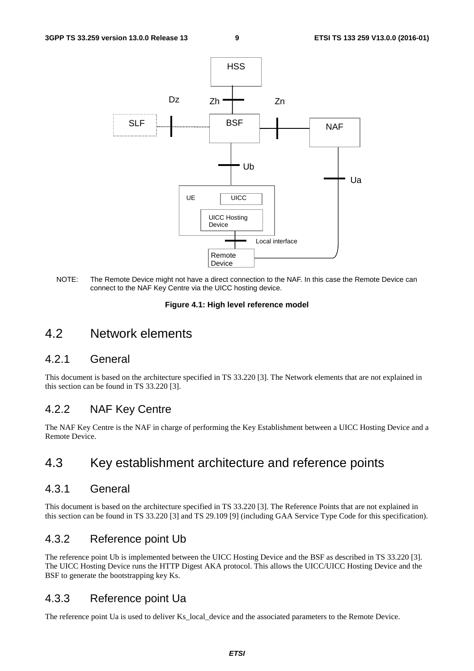

NOTE: The Remote Device might not have a direct connection to the NAF. In this case the Remote Device can connect to the NAF Key Centre via the UICC hosting device.

#### **Figure 4.1: High level reference model**

#### 4.2 Network elements

#### 4.2.1 General

This document is based on the architecture specified in TS 33.220 [3]. The Network elements that are not explained in this section can be found in TS 33.220 [3].

#### 4.2.2 NAF Key Centre

The NAF Key Centre is the NAF in charge of performing the Key Establishment between a UICC Hosting Device and a Remote Device.

### 4.3 Key establishment architecture and reference points

#### 4.3.1 General

This document is based on the architecture specified in TS 33.220 [3]. The Reference Points that are not explained in this section can be found in TS 33.220 [3] and TS 29.109 [9] (including GAA Service Type Code for this specification).

#### 4.3.2 Reference point Ub

The reference point Ub is implemented between the UICC Hosting Device and the BSF as described in TS 33.220 [3]. The UICC Hosting Device runs the HTTP Digest AKA protocol. This allows the UICC/UICC Hosting Device and the BSF to generate the bootstrapping key Ks.

#### 4.3.3 Reference point Ua

The reference point Ua is used to deliver Ks\_local\_device and the associated parameters to the Remote Device.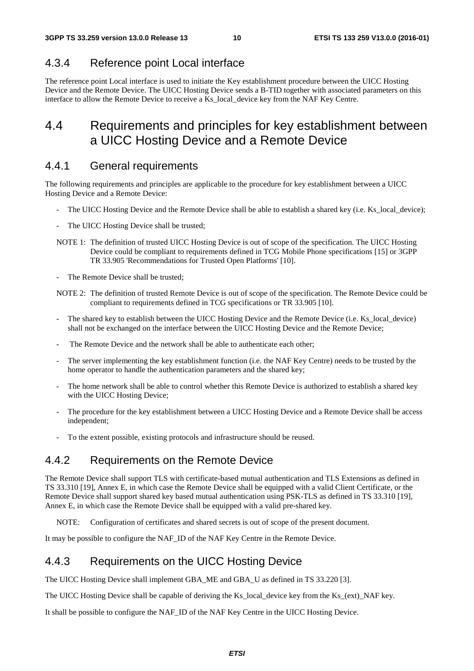#### 4.3.4 Reference point Local interface

The reference point Local interface is used to initiate the Key establishment procedure between the UICC Hosting Device and the Remote Device. The UICC Hosting Device sends a B-TID together with associated parameters on this interface to allow the Remote Device to receive a Ks\_local\_device key from the NAF Key Centre.

### 4.4 Requirements and principles for key establishment between a UICC Hosting Device and a Remote Device

#### 4.4.1 General requirements

The following requirements and principles are applicable to the procedure for key establishment between a UICC Hosting Device and a Remote Device:

- The UICC Hosting Device and the Remote Device shall be able to establish a shared key (i.e. Ks\_local\_device);
- The UICC Hosting Device shall be trusted;
- NOTE 1: The definition of trusted UICC Hosting Device is out of scope of the specification. The UICC Hosting Device could be compliant to requirements defined in TCG Mobile Phone specifications [15] or 3GPP TR 33.905 'Recommendations for Trusted Open Platforms' [10].
- The Remote Device shall be trusted;
- NOTE 2: The definition of trusted Remote Device is out of scope of the specification. The Remote Device could be compliant to requirements defined in TCG specifications or TR 33.905 [10].
- The shared key to establish between the UICC Hosting Device and the Remote Device (i.e. Ks\_local\_device) shall not be exchanged on the interface between the UICC Hosting Device and the Remote Device;
- The Remote Device and the network shall be able to authenticate each other;
- The server implementing the key establishment function (i.e. the NAF Key Centre) needs to be trusted by the home operator to handle the authentication parameters and the shared key;
- The home network shall be able to control whether this Remote Device is authorized to establish a shared key with the UICC Hosting Device;
- The procedure for the key establishment between a UICC Hosting Device and a Remote Device shall be access independent;
- To the extent possible, existing protocols and infrastructure should be reused.

#### 4.4.2 Requirements on the Remote Device

The Remote Device shall support TLS with certificate-based mutual authentication and TLS Extensions as defined in TS 33.310 [19], Annex E, in which case the Remote Device shall be equipped with a valid Client Certificate, or the Remote Device shall support shared key based mutual authentication using PSK-TLS as defined in TS 33.310 [19], Annex E, in which case the Remote Device shall be equipped with a valid pre-shared key.

NOTE: Configuration of certificates and shared secrets is out of scope of the present document.

It may be possible to configure the NAF\_ID of the NAF Key Centre in the Remote Device.

### 4.4.3 Requirements on the UICC Hosting Device

The UICC Hosting Device shall implement GBA\_ME and GBA\_U as defined in TS 33.220 [3].

The UICC Hosting Device shall be capable of deriving the Ks\_local\_device key from the Ks\_(ext)\_NAF key.

It shall be possible to configure the NAF\_ID of the NAF Key Centre in the UICC Hosting Device.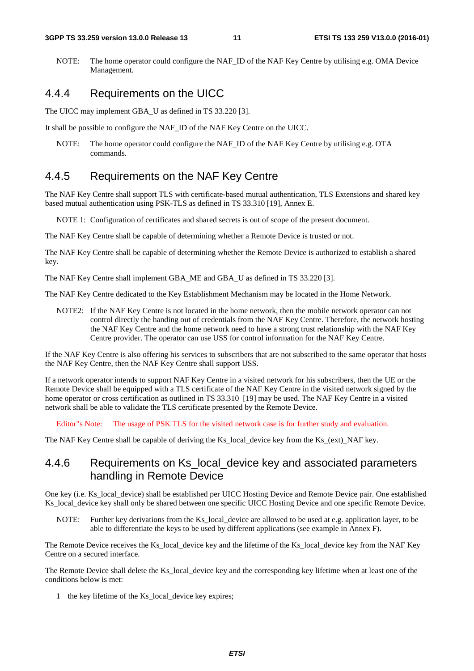NOTE: The home operator could configure the NAF\_ID of the NAF Key Centre by utilising e.g. OMA Device Management.

#### 4.4.4 Requirements on the UICC

The UICC may implement GBA\_U as defined in TS 33.220 [3].

It shall be possible to configure the NAF\_ID of the NAF Key Centre on the UICC.

NOTE: The home operator could configure the NAF ID of the NAF Key Centre by utilising e.g. OTA commands.

#### 4.4.5 Requirements on the NAF Key Centre

The NAF Key Centre shall support TLS with certificate-based mutual authentication, TLS Extensions and shared key based mutual authentication using PSK-TLS as defined in TS 33.310 [19], Annex E.

NOTE 1: Configuration of certificates and shared secrets is out of scope of the present document.

The NAF Key Centre shall be capable of determining whether a Remote Device is trusted or not.

The NAF Key Centre shall be capable of determining whether the Remote Device is authorized to establish a shared key.

The NAF Key Centre shall implement GBA\_ME and GBA\_U as defined in TS 33.220 [3].

The NAF Key Centre dedicated to the Key Establishment Mechanism may be located in the Home Network.

NOTE2: If the NAF Key Centre is not located in the home network, then the mobile network operator can not control directly the handing out of credentials from the NAF Key Centre. Therefore, the network hosting the NAF Key Centre and the home network need to have a strong trust relationship with the NAF Key Centre provider. The operator can use USS for control information for the NAF Key Centre.

If the NAF Key Centre is also offering his services to subscribers that are not subscribed to the same operator that hosts the NAF Key Centre, then the NAF Key Centre shall support USS.

If a network operator intends to support NAF Key Centre in a visited network for his subscribers, then the UE or the Remote Device shall be equipped with a TLS certificate of the NAF Key Centre in the visited network signed by the home operator or cross certification as outlined in TS 33.310 [19] may be used. The NAF Key Centre in a visited network shall be able to validate the TLS certificate presented by the Remote Device.

Editor"s Note: The usage of PSK TLS for the visited network case is for further study and evaluation.

The NAF Key Centre shall be capable of deriving the Ks\_local\_device key from the Ks\_(ext)\_NAF key.

#### 4.4.6 Requirements on Ks\_local\_device key and associated parameters handling in Remote Device

One key (i.e. Ks\_local\_device) shall be established per UICC Hosting Device and Remote Device pair. One established Ks local device key shall only be shared between one specific UICC Hosting Device and one specific Remote Device.

NOTE: Further key derivations from the Ks local device are allowed to be used at e.g. application layer, to be able to differentiate the keys to be used by different applications (see example in Annex F).

The Remote Device receives the Ks\_local\_device key and the lifetime of the Ks\_local\_device key from the NAF Key Centre on a secured interface.

The Remote Device shall delete the Ks\_local\_device key and the corresponding key lifetime when at least one of the conditions below is met:

1 the key lifetime of the Ks\_local\_device key expires;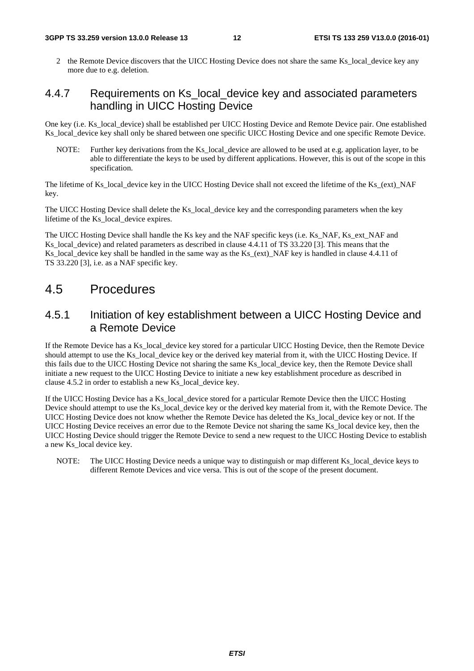2 the Remote Device discovers that the UICC Hosting Device does not share the same Ks local device key any more due to e.g. deletion.

#### 4.4.7 Requirements on Ks\_local\_device key and associated parameters handling in UICC Hosting Device

One key (i.e. Ks\_local\_device) shall be established per UICC Hosting Device and Remote Device pair. One established Ks local device key shall only be shared between one specific UICC Hosting Device and one specific Remote Device.

NOTE: Further key derivations from the Ks local device are allowed to be used at e.g. application layer, to be able to differentiate the keys to be used by different applications. However, this is out of the scope in this specification.

The lifetime of Ks\_local\_device key in the UICC Hosting Device shall not exceed the lifetime of the Ks\_(ext)\_NAF key.

The UICC Hosting Device shall delete the Ks\_local\_device key and the corresponding parameters when the key lifetime of the Ks\_local\_device expires.

The UICC Hosting Device shall handle the Ks key and the NAF specific keys (i.e. Ks\_NAF, Ks\_ext\_NAF and Ks\_local\_device) and related parameters as described in clause 4.4.11 of TS 33.220 [3]. This means that the Ks\_local\_device key shall be handled in the same way as the Ks\_(ext)\_NAF key is handled in clause 4.4.11 of TS 33.220 [3], i.e. as a NAF specific key.

#### 4.5 Procedures

#### 4.5.1 Initiation of key establishment between a UICC Hosting Device and a Remote Device

If the Remote Device has a Ks\_local\_device key stored for a particular UICC Hosting Device, then the Remote Device should attempt to use the Ks\_local\_device key or the derived key material from it, with the UICC Hosting Device. If this fails due to the UICC Hosting Device not sharing the same Ks\_local\_device key, then the Remote Device shall initiate a new request to the UICC Hosting Device to initiate a new key establishment procedure as described in clause 4.5.2 in order to establish a new Ks\_local\_device key.

If the UICC Hosting Device has a Ks\_local\_device stored for a particular Remote Device then the UICC Hosting Device should attempt to use the Ks\_local\_device key or the derived key material from it, with the Remote Device. The UICC Hosting Device does not know whether the Remote Device has deleted the Ks\_local\_device key or not. If the UICC Hosting Device receives an error due to the Remote Device not sharing the same Ks\_local device key, then the UICC Hosting Device should trigger the Remote Device to send a new request to the UICC Hosting Device to establish a new Ks\_local device key.

NOTE: The UICC Hosting Device needs a unique way to distinguish or map different Ks local device keys to different Remote Devices and vice versa. This is out of the scope of the present document.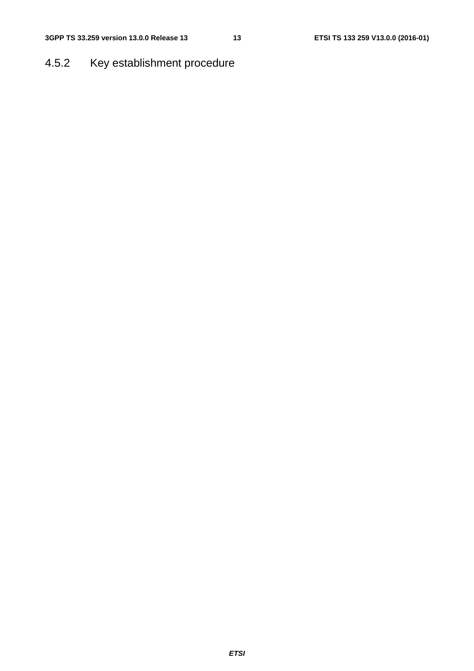## 4.5.2 Key establishment procedure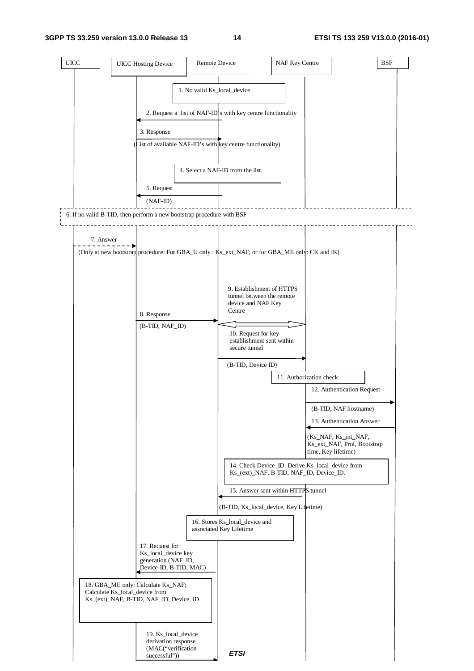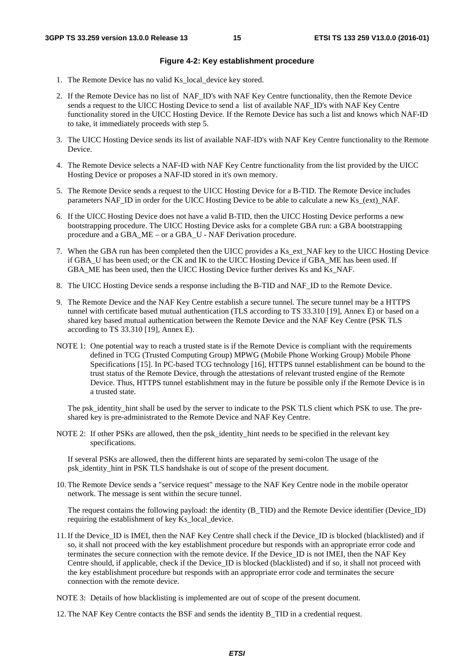#### **Figure 4-2: Key establishment procedure**

- 1. The Remote Device has no valid Ks\_local\_device key stored.
- 2. If the Remote Device has no list of NAF\_ID's with NAF Key Centre functionality, then the Remote Device sends a request to the UICC Hosting Device to send a list of available NAF\_ID's with NAF Key Centre functionality stored in the UICC Hosting Device. If the Remote Device has such a list and knows which NAF-ID to take, it immediately proceeds with step 5.
- 3. The UICC Hosting Device sends its list of available NAF-ID's with NAF Key Centre functionality to the Remote Device.
- 4. The Remote Device selects a NAF-ID with NAF Key Centre functionality from the list provided by the UICC Hosting Device or proposes a NAF-ID stored in it's own memory.
- 5. The Remote Device sends a request to the UICC Hosting Device for a B-TID. The Remote Device includes parameters NAF\_ID in order for the UICC Hosting Device to be able to calculate a new Ks\_(ext)\_NAF.
- 6. If the UICC Hosting Device does not have a valid B-TID, then the UICC Hosting Device performs a new bootstrapping procedure. The UICC Hosting Device asks for a complete GBA run: a GBA bootstrapping procedure and a GBA\_ME – or a GBA\_U - NAF Derivation procedure.
- 7. When the GBA run has been completed then the UICC provides a Ks\_ext\_NAF key to the UICC Hosting Device if GBA\_U has been used; or the CK and IK to the UICC Hosting Device if GBA\_ME has been used. If GBA ME has been used, then the UICC Hosting Device further derives Ks and Ks\_NAF.
- 8. The UICC Hosting Device sends a response including the B-TID and NAF ID to the Remote Device.
- 9. The Remote Device and the NAF Key Centre establish a secure tunnel. The secure tunnel may be a HTTPS tunnel with certificate based mutual authentication (TLS according to TS 33.310 [19], Annex E) or based on a shared key based mutual authentication between the Remote Device and the NAF Key Centre (PSK TLS according to TS 33.310 [19], Annex E).
- NOTE 1: One potential way to reach a trusted state is if the Remote Device is compliant with the requirements defined in TCG (Trusted Computing Group) MPWG (Mobile Phone Working Group) Mobile Phone Specifications [15]. In PC-based TCG technology [16], HTTPS tunnel establishment can be bound to the trust status of the Remote Device, through the attestations of relevant trusted engine of the Remote Device. Thus, HTTPS tunnel establishment may in the future be possible only if the Remote Device is in a trusted state.

The psk\_identity\_hint shall be used by the server to indicate to the PSK TLS client which PSK to use. The preshared key is pre-administrated to the Remote Device and NAF Key Centre.

NOTE 2: If other PSKs are allowed, then the psk\_identity\_hint needs to be specified in the relevant key specifications.

 If several PSKs are allowed, then the different hints are separated by semi-colon The usage of the psk\_identity\_hint in PSK TLS handshake is out of scope of the present document.

10. The Remote Device sends a "service request" message to the NAF Key Centre node in the mobile operator network. The message is sent within the secure tunnel.

 The request contains the following payload: the identity (B\_TID) and the Remote Device identifier (Device\_ID) requiring the establishment of key Ks local device.

11. If the Device\_ID is IMEI, then the NAF Key Centre shall check if the Device\_ID is blocked (blacklisted) and if so, it shall not proceed with the key establishment procedure but responds with an appropriate error code and terminates the secure connection with the remote device. If the Device\_ID is not IMEI, then the NAF Key Centre should, if applicable, check if the Device\_ID is blocked (blacklisted) and if so, it shall not proceed with the key establishment procedure but responds with an appropriate error code and terminates the secure connection with the remote device.

NOTE 3: Details of how blacklisting is implemented are out of scope of the present document.

12. The NAF Key Centre contacts the BSF and sends the identity B\_TID in a credential request.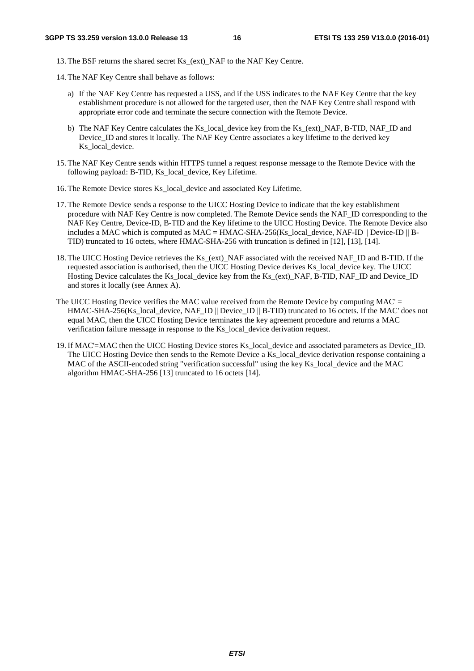13. The BSF returns the shared secret Ks\_(ext)\_NAF to the NAF Key Centre.

- 14. The NAF Key Centre shall behave as follows:
	- a) If the NAF Key Centre has requested a USS, and if the USS indicates to the NAF Key Centre that the key establishment procedure is not allowed for the targeted user, then the NAF Key Centre shall respond with appropriate error code and terminate the secure connection with the Remote Device.
	- b) The NAF Key Centre calculates the Ks\_local\_device key from the Ks\_(ext)\_NAF, B-TID, NAF\_ID and Device ID and stores it locally. The NAF Key Centre associates a key lifetime to the derived key Ks local device.
- 15. The NAF Key Centre sends within HTTPS tunnel a request response message to the Remote Device with the following payload: B-TID, Ks\_local\_device, Key Lifetime.
- 16. The Remote Device stores Ks\_local\_device and associated Key Lifetime.
- 17. The Remote Device sends a response to the UICC Hosting Device to indicate that the key establishment procedure with NAF Key Centre is now completed. The Remote Device sends the NAF\_ID corresponding to the NAF Key Centre, Device-ID, B-TID and the Key lifetime to the UICC Hosting Device. The Remote Device also includes a MAC which is computed as  $MAC = HMAC-SHA-256(Ks \text{ local device}, \text{NAF-ID} || \text{Device-ID} || \text{B}-$ TID) truncated to 16 octets, where HMAC-SHA-256 with truncation is defined in [12], [13], [14].
- 18. The UICC Hosting Device retrieves the Ks (ext) NAF associated with the received NAF\_ID and B-TID. If the requested association is authorised, then the UICC Hosting Device derives Ks\_local\_device key. The UICC Hosting Device calculates the Ks\_local\_device key from the Ks\_(ext)\_NAF, B-TID, NAF\_ID and Device\_ID and stores it locally (see Annex A).
- The UICC Hosting Device verifies the MAC value received from the Remote Device by computing MAC' = HMAC-SHA-256(Ks. local\_device, NAF\_ID || Device\_ID || B-TID) truncated to 16 octets. If the MAC' does not equal MAC, then the UICC Hosting Device terminates the key agreement procedure and returns a MAC verification failure message in response to the Ks\_local\_device derivation request.
- 19. If MAC'=MAC then the UICC Hosting Device stores Ks\_local\_device and associated parameters as Device\_ID. The UICC Hosting Device then sends to the Remote Device a Ks\_local\_device derivation response containing a MAC of the ASCII-encoded string "verification successful" using the key Ks local device and the MAC algorithm HMAC-SHA-256 [13] truncated to 16 octets [14].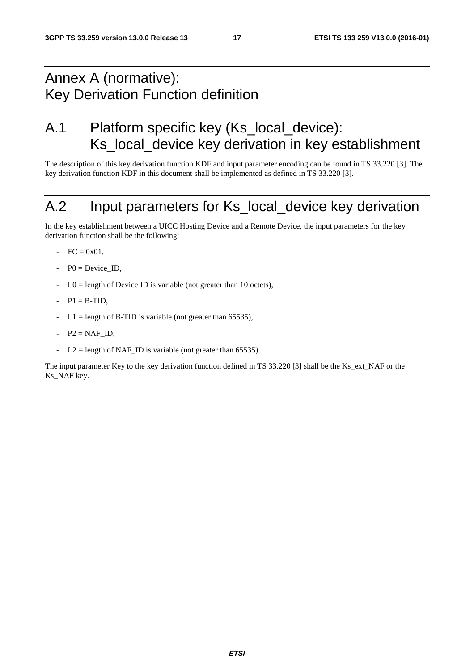## Annex A (normative): Key Derivation Function definition

## A.1 Platform specific key (Ks\_local\_device): Ks\_local\_device key derivation in key establishment

The description of this key derivation function KDF and input parameter encoding can be found in TS 33.220 [3]. The key derivation function KDF in this document shall be implemented as defined in TS 33.220 [3].

## A.2 Input parameters for Ks\_local\_device key derivation

In the key establishment between a UICC Hosting Device and a Remote Device, the input parameters for the key derivation function shall be the following:

- $FC = 0x01$ ,
- $P0 = Device$  ID.
- $LO =$  length of Device ID is variable (not greater than 10 octets),
- $P1 = B-TID$ ,
- $L1 =$  length of B-TID is variable (not greater than 65535),
- $P2 = NAFID$ ,
- $L2 =$  length of NAF\_ID is variable (not greater than 65535).

The input parameter Key to the key derivation function defined in TS 33.220 [3] shall be the Ks\_ext\_NAF or the Ks NAF key.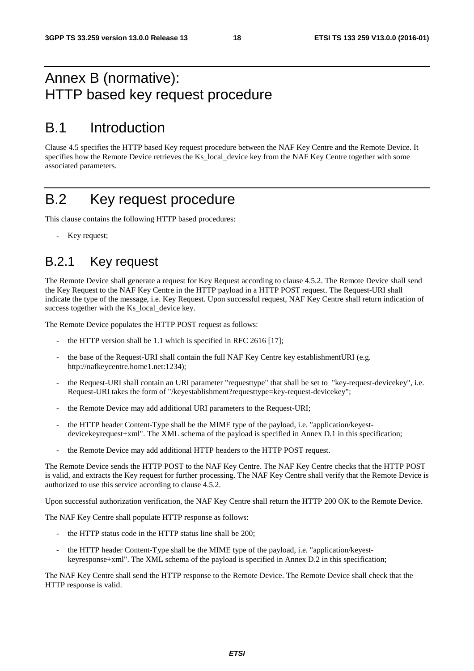## Annex B (normative): HTTP based key request procedure

## B.1 Introduction

Clause 4.5 specifies the HTTP based Key request procedure between the NAF Key Centre and the Remote Device. It specifies how the Remote Device retrieves the Ks\_local\_device key from the NAF Key Centre together with some associated parameters.

## B.2 Key request procedure

This clause contains the following HTTP based procedures:

Key request;

### B.2.1 Key request

The Remote Device shall generate a request for Key Request according to clause 4.5.2. The Remote Device shall send the Key Request to the NAF Key Centre in the HTTP payload in a HTTP POST request. The Request-URI shall indicate the type of the message, i.e. Key Request. Upon successful request, NAF Key Centre shall return indication of success together with the Ks\_local\_device key.

The Remote Device populates the HTTP POST request as follows:

- the HTTP version shall be 1.1 which is specified in RFC 2616  $[17]$ ;
- the base of the Request-URI shall contain the full NAF Key Centre key establishmentURI (e.g. http://nafkeycentre.home1.net:1234);
- the Request-URI shall contain an URI parameter "requesttype" that shall be set to "key-request-devicekey", i.e. Request-URI takes the form of "/keyestablishment?requesttype=key-request-devicekey";
- the Remote Device may add additional URI parameters to the Request-URI;
- the HTTP header Content-Type shall be the MIME type of the payload, i.e. "application/keyestdevicekeyrequest+xml". The XML schema of the payload is specified in Annex D.1 in this specification;
- the Remote Device may add additional HTTP headers to the HTTP POST request.

The Remote Device sends the HTTP POST to the NAF Key Centre. The NAF Key Centre checks that the HTTP POST is valid, and extracts the Key request for further processing. The NAF Key Centre shall verify that the Remote Device is authorized to use this service according to clause 4.5.2.

Upon successful authorization verification, the NAF Key Centre shall return the HTTP 200 OK to the Remote Device.

The NAF Key Centre shall populate HTTP response as follows:

- the HTTP status code in the HTTP status line shall be 200;
- the HTTP header Content-Type shall be the MIME type of the payload, i.e. "application/keyestkeyresponse+xml". The XML schema of the payload is specified in Annex D.2 in this specification;

The NAF Key Centre shall send the HTTP response to the Remote Device. The Remote Device shall check that the HTTP response is valid.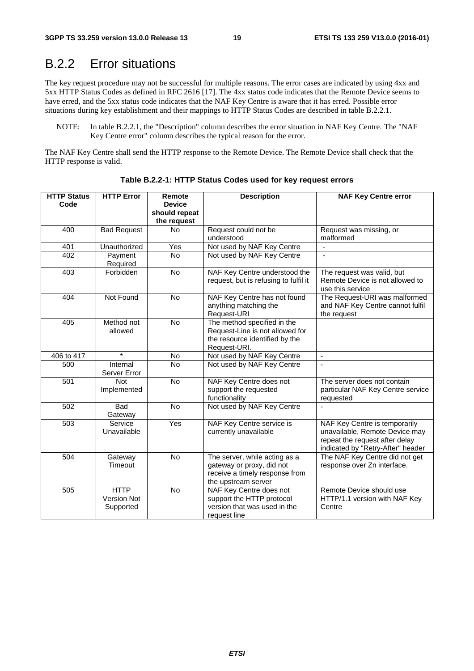### B.2.2 Error situations

The key request procedure may not be successful for multiple reasons. The error cases are indicated by using 4xx and 5xx HTTP Status Codes as defined in RFC 2616 [17]. The 4xx status code indicates that the Remote Device seems to have erred, and the 5xx status code indicates that the NAF Key Centre is aware that it has erred. Possible error situations during key establishment and their mappings to HTTP Status Codes are described in table B.2.2.1.

NOTE: In table B.2.2.1, the "Description" column describes the error situation in NAF Key Centre. The "NAF Key Centre error" column describes the typical reason for the error.

The NAF Key Centre shall send the HTTP response to the Remote Device. The Remote Device shall check that the HTTP response is valid.

| <b>HTTP Status</b><br>Code | <b>HTTP Error</b>                              | Remote<br><b>Device</b><br>should repeat | <b>Description</b>                                                                                                  | <b>NAF Key Centre error</b>                                                                                                            |
|----------------------------|------------------------------------------------|------------------------------------------|---------------------------------------------------------------------------------------------------------------------|----------------------------------------------------------------------------------------------------------------------------------------|
| 400                        | <b>Bad Request</b>                             | the request<br><b>No</b>                 | Request could not be                                                                                                | Request was missing, or                                                                                                                |
|                            |                                                |                                          | understood                                                                                                          | malformed                                                                                                                              |
| 401                        | Unauthorized                                   | Yes                                      | Not used by NAF Key Centre                                                                                          | ÷.                                                                                                                                     |
| 402                        | Payment<br>Required                            | <b>No</b>                                | Not used by NAF Key Centre                                                                                          | ä,                                                                                                                                     |
| 403                        | Forbidden                                      | No                                       | NAF Key Centre understood the<br>request, but is refusing to fulfil it                                              | The request was valid, but<br>Remote Device is not allowed to<br>use this service                                                      |
| 404                        | Not Found                                      | <b>No</b>                                | NAF Key Centre has not found<br>anything matching the<br>Request-URI                                                | The Request-URI was malformed<br>and NAF Key Centre cannot fulfil<br>the request                                                       |
| 405                        | Method not<br>allowed                          | No                                       | The method specified in the<br>Request-Line is not allowed for<br>the resource identified by the<br>Request-URI.    |                                                                                                                                        |
| 406 to 417                 | $\star$                                        | No                                       | Not used by NAF Key Centre                                                                                          | $\blacksquare$                                                                                                                         |
| 500                        | Internal<br>Server Error                       | <b>No</b>                                | Not used by NAF Key Centre                                                                                          | $\mathbf{r}$                                                                                                                           |
| 501                        | <b>Not</b><br>Implemented                      | No                                       | NAF Key Centre does not<br>support the requested<br>functionality                                                   | The server does not contain<br>particular NAF Key Centre service<br>requested                                                          |
| 502                        | <b>Bad</b><br>Gateway                          | No                                       | Not used by NAF Key Centre                                                                                          |                                                                                                                                        |
| 503                        | Service<br>Unavailable                         | Yes                                      | NAF Key Centre service is<br>currently unavailable                                                                  | NAF Key Centre is temporarily<br>unavailable, Remote Device may<br>repeat the request after delay<br>indicated by "Retry-After" header |
| 504                        | Gateway<br>Timeout                             | No                                       | The server, while acting as a<br>gateway or proxy, did not<br>receive a timely response from<br>the upstream server | The NAF Key Centre did not get<br>response over Zn interface.                                                                          |
| 505                        | <b>HTTP</b><br><b>Version Not</b><br>Supported | No                                       | NAF Key Centre does not<br>support the HTTP protocol<br>version that was used in the<br>request line                | Remote Device should use<br>HTTP/1.1 version with NAF Key<br>Centre                                                                    |

**Table B.2.2-1: HTTP Status Codes used for key request errors**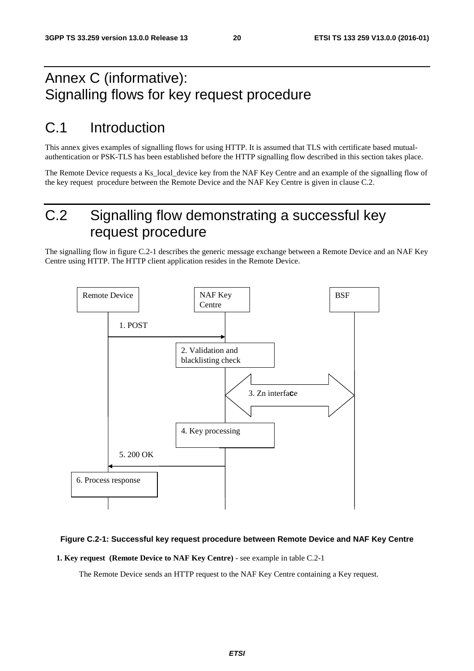## Annex C (informative): Signalling flows for key request procedure

## C.1 Introduction

This annex gives examples of signalling flows for using HTTP. It is assumed that TLS with certificate based mutualauthentication or PSK-TLS has been established before the HTTP signalling flow described in this section takes place.

The Remote Device requests a Ks\_local\_device key from the NAF Key Centre and an example of the signalling flow of the key request procedure between the Remote Device and the NAF Key Centre is given in clause C.2.

## C.2 Signalling flow demonstrating a successful key request procedure

The signalling flow in figure C.2-1 describes the generic message exchange between a Remote Device and an NAF Key Centre using HTTP. The HTTP client application resides in the Remote Device.



#### **Figure C.2-1: Successful key request procedure between Remote Device and NAF Key Centre**

**1. Key request (Remote Device to NAF Key Centre)** - see example in table C.2-1

The Remote Device sends an HTTP request to the NAF Key Centre containing a Key request.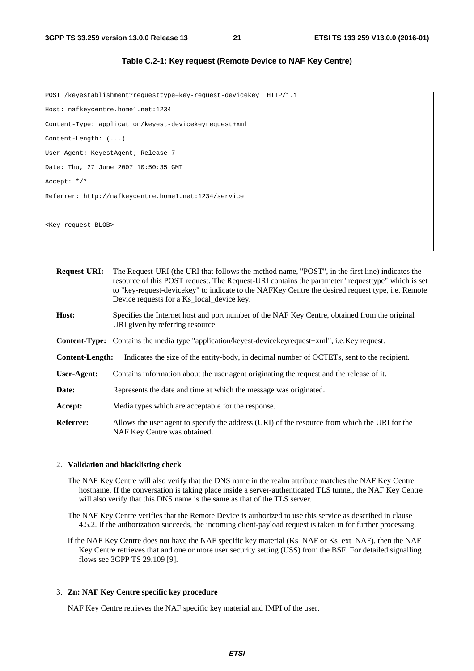**Table C.2-1: Key request (Remote Device to NAF Key Centre)** 

| POST /keyestablishment?requesttype=key-request-devicekey HTTP/1.1 |  |  |  |
|-------------------------------------------------------------------|--|--|--|
| Host: nafkeycentre.home1.net:1234                                 |  |  |  |
| Content-Type: application/keyest-devicekeyrequest+xml             |  |  |  |
| Content-Length: $( \ldots )$                                      |  |  |  |
| User-Agent: KeyestAgent; Release-7                                |  |  |  |
| Date: Thu, 27 June 2007 10:50:35 GMT                              |  |  |  |
| Accept: $*/*$                                                     |  |  |  |
| Referrer: http://nafkeycentre.home1.net:1234/service              |  |  |  |
|                                                                   |  |  |  |
| <key blob="" request=""></key>                                    |  |  |  |
|                                                                   |  |  |  |

| <b>Request-URI:</b>    | The Request-URI (the URI that follows the method name, "POST", in the first line) indicates the<br>resource of this POST request. The Request-URI contains the parameter "requestiver" which is set<br>to "key-request-device key" to indicate to the NAFKey Centre the desired request type, i.e. Remote<br>Device requests for a Ks local device key. |
|------------------------|---------------------------------------------------------------------------------------------------------------------------------------------------------------------------------------------------------------------------------------------------------------------------------------------------------------------------------------------------------|
| Host:                  | Specifies the Internet host and port number of the NAF Key Centre, obtained from the original<br>URI given by referring resource.                                                                                                                                                                                                                       |
|                        | <b>Content-Type:</b> Contains the media type "application/keyest-devicekeyrequest+xml", i.e.Key request.                                                                                                                                                                                                                                                |
| <b>Content-Length:</b> | Indicates the size of the entity-body, in decimal number of OCTETs, sent to the recipient.                                                                                                                                                                                                                                                              |
| User-Agent:            | Contains information about the user agent originating the request and the release of it.                                                                                                                                                                                                                                                                |
| Date:                  | Represents the date and time at which the message was originated.                                                                                                                                                                                                                                                                                       |
| Accept:                | Media types which are acceptable for the response.                                                                                                                                                                                                                                                                                                      |
| <b>Referrer:</b>       | Allows the user agent to specify the address (URI) of the resource from which the URI for the<br>NAF Key Centre was obtained.                                                                                                                                                                                                                           |

#### 2. **Validation and blacklisting check**

The NAF Key Centre will also verify that the DNS name in the realm attribute matches the NAF Key Centre hostname. If the conversation is taking place inside a server-authenticated TLS tunnel, the NAF Key Centre will also verify that this DNS name is the same as that of the TLS server.

The NAF Key Centre verifies that the Remote Device is authorized to use this service as described in clause 4.5.2. If the authorization succeeds, the incoming client-payload request is taken in for further processing.

If the NAF Key Centre does not have the NAF specific key material (Ks\_NAF or Ks\_ext\_NAF), then the NAF Key Centre retrieves that and one or more user security setting (USS) from the BSF. For detailed signalling flows see 3GPP TS 29.109 [9].

#### 3. **Zn: NAF Key Centre specific key procedure**

NAF Key Centre retrieves the NAF specific key material and IMPI of the user.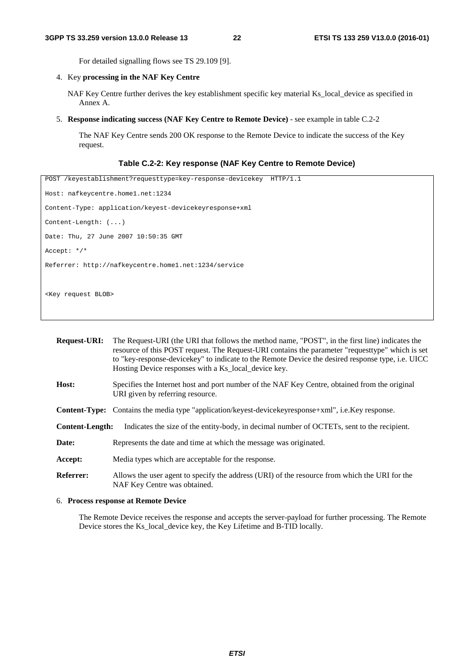For detailed signalling flows see TS 29.109 [9].

4. Key **processing in the NAF Key Centre**

NAF Key Centre further derives the key establishment specific key material Ks\_local\_device as specified in Annex A.

5. **Response indicating success (NAF Key Centre to Remote Device)** - see example in table C.2-2

 The NAF Key Centre sends 200 OK response to the Remote Device to indicate the success of the Key request.

#### **Table C.2-2: Key response (NAF Key Centre to Remote Device)**

```
POST /keyestablishment?requesttype=key-response-devicekey HTTP/1.1 
Host: nafkeycentre.home1.net:1234 
Content-Type: application/keyest-devicekeyresponse+xml 
Content-Length: (...) 
Date: Thu, 27 June 2007 10:50:35 GMT 
Accept: */* 
Referrer: http://nafkeycentre.home1.net:1234/service 
<Key request BLOB>
```

| <b>Request-URI:</b>    | The Request-URI (the URI that follows the method name, "POST", in the first line) indicates the<br>resource of this POST request. The Request-URI contains the parameter "requesttype" which is set<br>to "key-response-devicekey" to indicate to the Remote Device the desired response type, i.e. UICC<br>Hosting Device responses with a Ks_local_device key. |  |  |  |  |
|------------------------|------------------------------------------------------------------------------------------------------------------------------------------------------------------------------------------------------------------------------------------------------------------------------------------------------------------------------------------------------------------|--|--|--|--|
| Host:                  | Specifies the Internet host and port number of the NAF Key Centre, obtained from the original<br>URI given by referring resource.                                                                                                                                                                                                                                |  |  |  |  |
|                        | <b>Content-Type:</b> Contains the media type "application/keyest-device key response + xml", i.e. Key response.                                                                                                                                                                                                                                                  |  |  |  |  |
| <b>Content-Length:</b> | Indicates the size of the entity-body, in decimal number of OCTETs, sent to the recipient.                                                                                                                                                                                                                                                                       |  |  |  |  |
| Date:                  | Represents the date and time at which the message was originated.                                                                                                                                                                                                                                                                                                |  |  |  |  |
| Accept:                | Media types which are acceptable for the response.                                                                                                                                                                                                                                                                                                               |  |  |  |  |
| <b>Referrer:</b>       | Allows the user agent to specify the address (URI) of the resource from which the URI for the<br>NAF Key Centre was obtained.                                                                                                                                                                                                                                    |  |  |  |  |

#### 6. **Process response at Remote Device**

 The Remote Device receives the response and accepts the server-payload for further processing. The Remote Device stores the Ks\_local\_device key, the Key Lifetime and B-TID locally.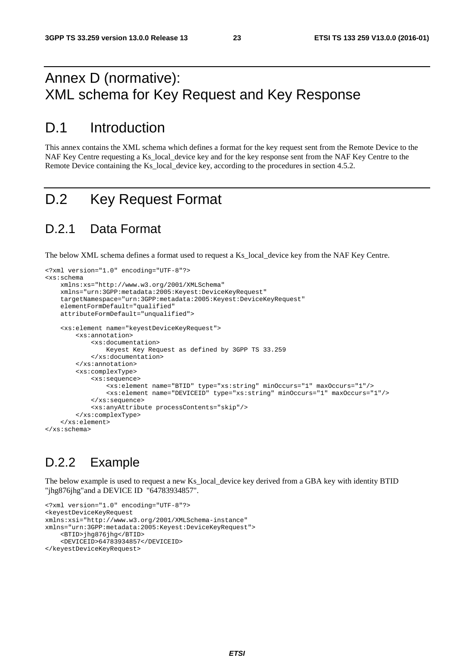## Annex D (normative): XML schema for Key Request and Key Response

### D.1 Introduction

This annex contains the XML schema which defines a format for the key request sent from the Remote Device to the NAF Key Centre requesting a Ks\_local\_device key and for the key response sent from the NAF Key Centre to the Remote Device containing the Ks\_local\_device key, according to the procedures in section 4.5.2.

## D.2 Key Request Format

#### D.2.1 Data Format

The below XML schema defines a format used to request a Ks\_local\_device key from the NAF Key Centre.

```
<?xml version="1.0" encoding="UTF-8"?> 
<xs:schema 
    xmlns:xs="http://www.w3.org/2001/XMLSchema" 
     xmlns="urn:3GPP:metadata:2005:Keyest:DeviceKeyRequest" 
     targetNamespace="urn:3GPP:metadata:2005:Keyest:DeviceKeyRequest" 
     elementFormDefault="qualified" 
     attributeFormDefault="unqualified"> 
     <xs:element name="keyestDeviceKeyRequest"> 
         <xs:annotation> 
             <xs:documentation> 
                 Keyest Key Request as defined by 3GPP TS 33.259 
             </xs:documentation> 
         </xs:annotation> 
         <xs:complexType> 
             <xs:sequence> 
                  <xs:element name="BTID" type="xs:string" minOccurs="1" maxOccurs="1"/> 
                  <xs:element name="DEVICEID" type="xs:string" minOccurs="1" maxOccurs="1"/> 
             </xs:sequence> 
             <xs:anyAttribute processContents="skip"/> 
         </xs:complexType> 
     </xs:element> 
</xs:schema>
```
### D.2.2 Example

The below example is used to request a new Ks\_local\_device key derived from a GBA key with identity BTID "jhg876jhg"and a DEVICE ID "64783934857".

```
<?xml version="1.0" encoding="UTF-8"?> 
<keyestDeviceKeyRequest 
xmlns:xsi="http://www.w3.org/2001/XMLSchema-instance" 
xmlns="urn:3GPP:metadata:2005:Keyest:DeviceKeyRequest"> 
     <BTID>jhg876jhg</BTID> 
     <DEVICEID>64783934857</DEVICEID> 
</keyestDeviceKeyRequest>
```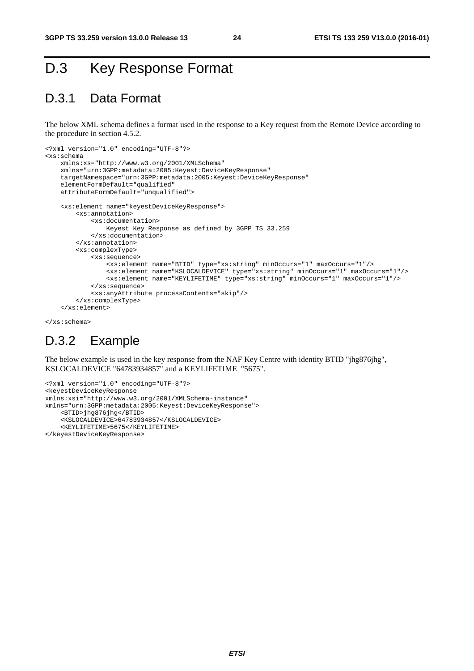## D.3 Key Response Format

#### D.3.1 Data Format

The below XML schema defines a format used in the response to a Key request from the Remote Device according to the procedure in section 4.5.2.

```
<?xml version="1.0" encoding="UTF-8"?> 
<xs:schema 
     xmlns:xs="http://www.w3.org/2001/XMLSchema" 
     xmlns="urn:3GPP:metadata:2005:Keyest:DeviceKeyResponse" 
     targetNamespace="urn:3GPP:metadata:2005:Keyest:DeviceKeyResponse" 
     elementFormDefault="qualified" 
     attributeFormDefault="unqualified"> 
     <xs:element name="keyestDeviceKeyResponse"> 
         <xs:annotation> 
             <xs:documentation> 
                 Keyest Key Response as defined by 3GPP TS 33.259 
             </xs:documentation> 
         </xs:annotation> 
         <xs:complexType> 
             <xs:sequence> 
                  <xs:element name="BTID" type="xs:string" minOccurs="1" maxOccurs="1"/> 
                  <xs:element name="KSLOCALDEVICE" type="xs:string" minOccurs="1" maxOccurs="1"/> 
                  <xs:element name="KEYLIFETIME" type="xs:string" minOccurs="1" maxOccurs="1"/> 
             </xs:sequence> 
             <xs:anyAttribute processContents="skip"/> 
         </xs:complexType> 
     </xs:element>
```
</xs:schema>

### D.3.2 Example

The below example is used in the key response from the NAF Key Centre with identity BTID "jhg876jhg", KSLOCALDEVICE "64783934857" and a KEYLIFETIME "5675".

```
<?xml version="1.0" encoding="UTF-8"?> 
<keyestDeviceKeyResponse 
xmlns:xsi="http://www.w3.org/2001/XMLSchema-instance" 
xmlns="urn:3GPP:metadata:2005:Keyest:DeviceKeyResponse"> 
     <BTID>jhg876jhg</BTID> 
     <KSLOCALDEVICE>64783934857</KSLOCALDEVICE> 
     <KEYLIFETIME>5675</KEYLIFETIME> 
</keyestDeviceKeyResponse>
```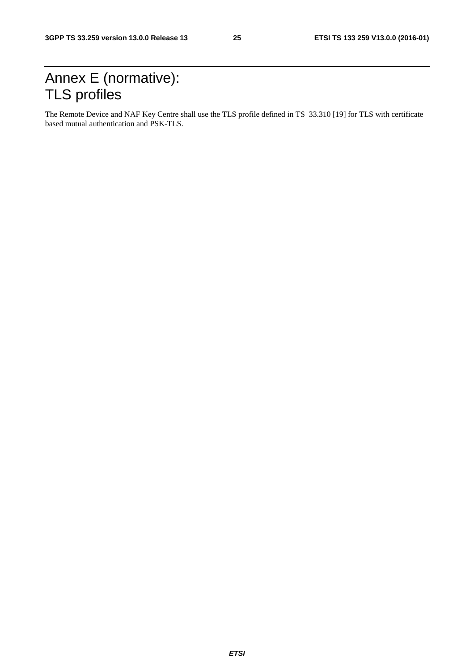## Annex E (normative): TLS profiles

The Remote Device and NAF Key Centre shall use the TLS profile defined in TS 33.310 [19] for TLS with certificate based mutual authentication and PSK-TLS.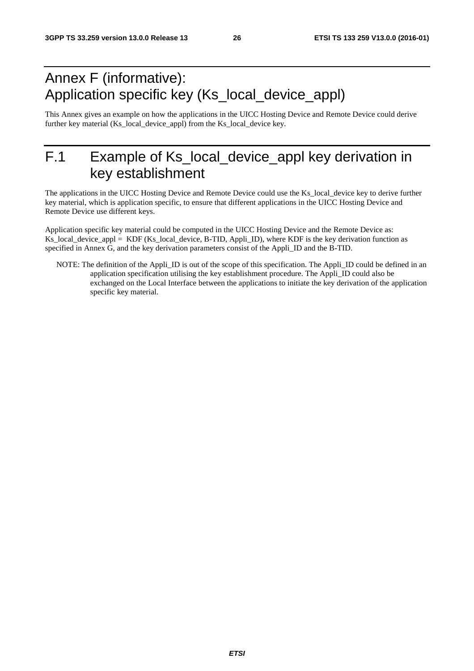## Annex F (informative): Application specific key (Ks\_local\_device\_appl)

This Annex gives an example on how the applications in the UICC Hosting Device and Remote Device could derive further key material (Ks\_local\_device\_appl) from the Ks\_local\_device key.

## F.1 Example of Ks\_local\_device\_appl key derivation in key establishment

The applications in the UICC Hosting Device and Remote Device could use the Ks\_local\_device key to derive further key material, which is application specific, to ensure that different applications in the UICC Hosting Device and Remote Device use different keys.

Application specific key material could be computed in the UICC Hosting Device and the Remote Device as: Ks local device appl = KDF (Ks local device, B-TID, Appli ID), where KDF is the key derivation function as specified in Annex G, and the key derivation parameters consist of the Appli\_ID and the B-TID.

NOTE: The definition of the Appli\_ID is out of the scope of this specification. The Appli\_ID could be defined in an application specification utilising the key establishment procedure. The Appli\_ID could also be exchanged on the Local Interface between the applications to initiate the key derivation of the application specific key material.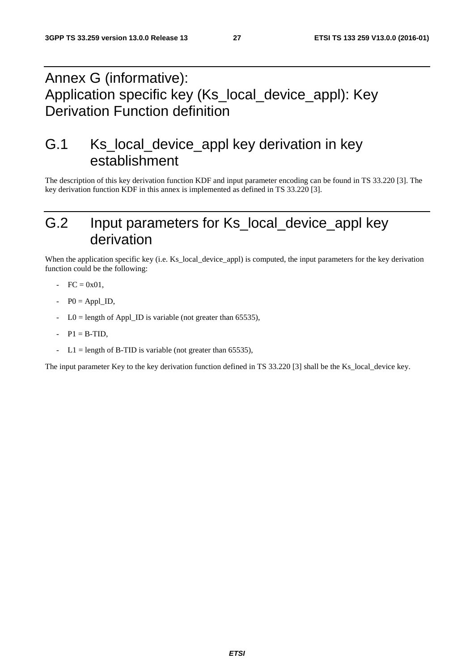## Annex G (informative): Application specific key (Ks\_local\_device\_appl): Key Derivation Function definition

## G.1 Ks\_local\_device\_appl key derivation in key establishment

The description of this key derivation function KDF and input parameter encoding can be found in TS 33.220 [3]. The key derivation function KDF in this annex is implemented as defined in TS 33.220 [3].

## G.2 Input parameters for Ks\_local\_device\_appl key derivation

When the application specific key (i.e. Ks local device appl) is computed, the input parameters for the key derivation function could be the following:

- $FC = 0x01$ ,
- $P0 = Appl$  ID,
- $LO =$  length of Appl\_ID is variable (not greater than 65535),
- $P1 = B-TID$ ,
- $L1 =$  length of B-TID is variable (not greater than 65535),

The input parameter Key to the key derivation function defined in TS 33.220 [3] shall be the Ks\_local\_device key.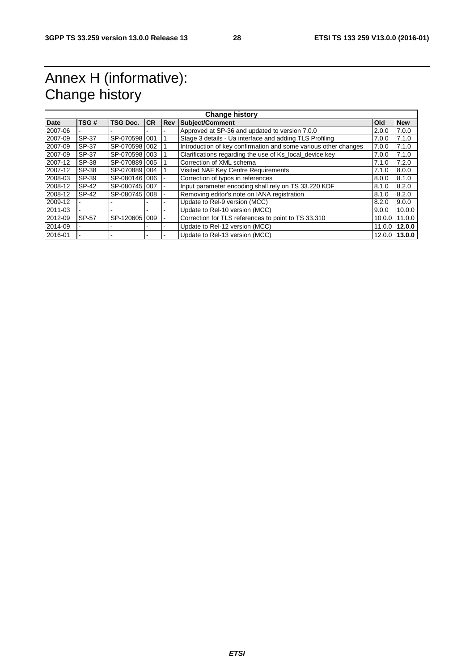## Annex H (informative): Change history

| <b>Change history</b> |              |                 |           |            |                                                                 |            |            |
|-----------------------|--------------|-----------------|-----------|------------|-----------------------------------------------------------------|------------|------------|
| <b>Date</b>           | TSG#         | <b>TSG Doc.</b> | <b>CR</b> | <b>Rev</b> | <b>Subject/Comment</b>                                          | <b>Old</b> | <b>New</b> |
| 2007-06               |              |                 |           |            | Approved at SP-36 and updated to version 7.0.0                  | 2.0.0      | 7.0.0      |
| 2007-09               | SP-37        | SP-070598 001   |           |            | Stage 3 details - Ua interface and adding TLS Profiling         | 7.0.0      | 7.1.0      |
| 2007-09               | SP-37        | SP-070598 002   |           |            | Introduction of key confirmation and some various other changes | 7.0.0      | 7.1.0      |
| 2007-09               | SP-37        | SP-070598 003   |           |            | Clarifications regarding the use of Ks local device key         | 7.0.0      | 7.1.0      |
| 2007-12               | SP-38        | SP-070889 005   |           |            | Correction of XML schema                                        | 7.1.0      | 7.2.0      |
| 2007-12               | SP-38        | SP-070889 004   |           |            | Visited NAF Key Centre Requirements                             | 7.1.0      | 8.0.0      |
| 2008-03               | SP-39        | SP-080146 006   |           |            | Correction of typos in references                               | 8.0.0      | 8.1.0      |
| 2008-12               | <b>SP-42</b> | SP-080745 007   |           |            | Input parameter encoding shall rely on TS 33.220 KDF            | 8.1.0      | 8.2.0      |
| 2008-12               | SP-42        | SP-080745 008   |           |            | Removing editor's note on IANA registration                     | 8.1.0      | 8.2.0      |
| 2009-12               |              |                 |           |            | Update to Rel-9 version (MCC)                                   | 8.2.0      | 9.0.0      |
| 2011-03               |              |                 |           |            | Update to Rel-10 version (MCC)                                  | 9.0.0      | 10.0.0     |
| 2012-09               | SP-57        | SP-120605 009   |           |            | Correction for TLS references to point to TS 33.310             | 10.0.0     | 11.0.0     |
| 2014-09               |              |                 |           |            | Update to Rel-12 version (MCC)                                  | 11.0.0     | 12.0.0     |
| 2016-01               |              |                 |           |            | Update to Rel-13 version (MCC)                                  | 12.0.0     | 13.0.0     |